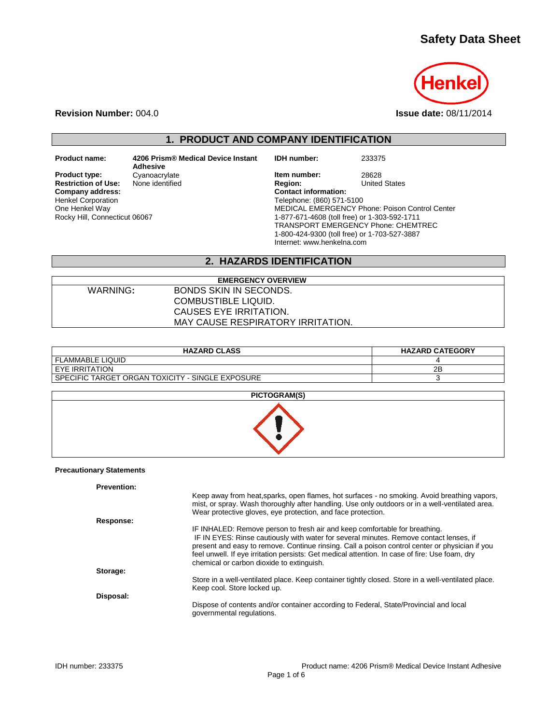# **Safety Data Sheet**



**Revision Number:** 004.0 **Issue date:** 08/11/2014

# **1. PRODUCT AND COMPANY IDENTIFICATION**

**Restriction of Use:**<br>Company address: Henkel Corporation One Henkel Way Rocky Hill, Connecticut 06067

**Product name: 4206 Prism® Medical Device Instant Adhesive**<br>Cyanoacrylate

**Product type:** Cyanoacrylate **Item number:** 28628<br> **Restriction of Use:** None identified **Integral Product Product Product** United States  $Content information:$ Telephone: (860) 571-5100 MEDICAL EMERGENCY Phone: Poison Control Center 1-877-671-4608 (toll free) or 1-303-592-1711 TRANSPORT EMERGENCY Phone: CHEMTREC 1-800-424-9300 (toll free) or 1-703-527-3887 Internet: www.henkelna.com

**IDH number:** 233375

## **2. HAZARDS IDENTIFICATION**

| <b>EMERGENCY OVERVIEW</b> |                                   |  |
|---------------------------|-----------------------------------|--|
| WARNING:                  | BONDS SKIN IN SECONDS.            |  |
|                           | COMBUSTIBLE LIQUID.               |  |
|                           | CAUSES EYE IRRITATION.            |  |
|                           | MAY CAUSE RESPIRATORY IRRITATION. |  |

| <b>HAZARD CLASS</b>                                | <b>HAZARD CATEGORY</b> |
|----------------------------------------------------|------------------------|
| I FLAMMABLE LIQUID                                 |                        |
| I EYE IRRITATION                                   | 2B                     |
| I SPECIFIC TARGET ORGAN TOXICITY - SINGLE EXPOSURE |                        |

| <b>PICTOGRAM(S)</b> |  |
|---------------------|--|
|                     |  |

#### **Precautionary Statements**

| <b>Prevention:</b> |                                                                                                                                                                                                                                                                                                                                                                                                                       |
|--------------------|-----------------------------------------------------------------------------------------------------------------------------------------------------------------------------------------------------------------------------------------------------------------------------------------------------------------------------------------------------------------------------------------------------------------------|
|                    | Keep away from heat, sparks, open flames, hot surfaces - no smoking. Avoid breathing vapors,<br>mist, or spray. Wash thoroughly after handling. Use only outdoors or in a well-ventilated area.<br>Wear protective gloves, eye protection, and face protection.                                                                                                                                                       |
| Response:          |                                                                                                                                                                                                                                                                                                                                                                                                                       |
|                    | IF INHALED: Remove person to fresh air and keep comfortable for breathing.<br>IF IN EYES: Rinse cautiously with water for several minutes. Remove contact lenses, if<br>present and easy to remove. Continue rinsing. Call a poison control center or physician if you<br>feel unwell. If eye irritation persists: Get medical attention. In case of fire: Use foam, dry<br>chemical or carbon dioxide to extinguish. |
| Storage:           |                                                                                                                                                                                                                                                                                                                                                                                                                       |
|                    | Store in a well-ventilated place. Keep container tightly closed. Store in a well-ventilated place.<br>Keep cool. Store locked up.                                                                                                                                                                                                                                                                                     |
| Disposal:          |                                                                                                                                                                                                                                                                                                                                                                                                                       |
|                    | Dispose of contents and/or container according to Federal, State/Provincial and local<br>governmental regulations.                                                                                                                                                                                                                                                                                                    |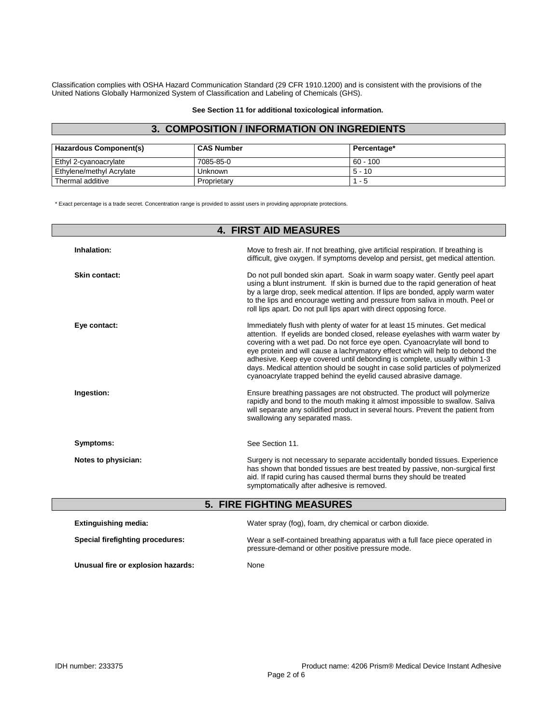Classification complies with OSHA Hazard Communication Standard (29 CFR 1910.1200) and is consistent with the provisions of the United Nations Globally Harmonized System of Classification and Labeling of Chemicals (GHS).

#### **See Section 11 for additional toxicological information.**

### **3. COMPOSITION / INFORMATION ON INGREDIENTS**

| Hazardous Component(s)   | <b>CAS Number</b> | Percentage* |
|--------------------------|-------------------|-------------|
| Ethyl 2-cyanoacrylate    | 7085-85-0         | 60 - 100    |
| Ethylene/methyl Acrylate | Unknown           | $5 - 10$    |
| Thermal additive         | Proprietary       | $1 - 5$     |

\* Exact percentage is a trade secret. Concentration range is provided to assist users in providing appropriate protections.

| <b>4. FIRST AID MEASURES</b>     |                                                                                                                                                                                                                                                                                                                                                                                                                                                                                                                                                                  |  |
|----------------------------------|------------------------------------------------------------------------------------------------------------------------------------------------------------------------------------------------------------------------------------------------------------------------------------------------------------------------------------------------------------------------------------------------------------------------------------------------------------------------------------------------------------------------------------------------------------------|--|
| Inhalation:                      | Move to fresh air. If not breathing, give artificial respiration. If breathing is<br>difficult, give oxygen. If symptoms develop and persist, get medical attention.                                                                                                                                                                                                                                                                                                                                                                                             |  |
| Skin contact:                    | Do not pull bonded skin apart. Soak in warm soapy water. Gently peel apart<br>using a blunt instrument. If skin is burned due to the rapid generation of heat<br>by a large drop, seek medical attention. If lips are bonded, apply warm water<br>to the lips and encourage wetting and pressure from saliva in mouth. Peel or<br>roll lips apart. Do not pull lips apart with direct opposing force.                                                                                                                                                            |  |
| Eye contact:                     | Immediately flush with plenty of water for at least 15 minutes. Get medical<br>attention. If eyelids are bonded closed, release eyelashes with warm water by<br>covering with a wet pad. Do not force eye open. Cyanoacrylate will bond to<br>eye protein and will cause a lachrymatory effect which will help to debond the<br>adhesive. Keep eye covered until debonding is complete, usually within 1-3<br>days. Medical attention should be sought in case solid particles of polymerized<br>cyanoacrylate trapped behind the eyelid caused abrasive damage. |  |
| Ingestion:                       | Ensure breathing passages are not obstructed. The product will polymerize<br>rapidly and bond to the mouth making it almost impossible to swallow. Saliva<br>will separate any solidified product in several hours. Prevent the patient from<br>swallowing any separated mass.                                                                                                                                                                                                                                                                                   |  |
| Symptoms:                        | See Section 11.                                                                                                                                                                                                                                                                                                                                                                                                                                                                                                                                                  |  |
| Notes to physician:              | Surgery is not necessary to separate accidentally bonded tissues. Experience<br>has shown that bonded tissues are best treated by passive, non-surgical first<br>aid. If rapid curing has caused thermal burns they should be treated<br>symptomatically after adhesive is removed.                                                                                                                                                                                                                                                                              |  |
|                                  | <b>5. FIRE FIGHTING MEASURES</b>                                                                                                                                                                                                                                                                                                                                                                                                                                                                                                                                 |  |
| <b>Extinguishing media:</b>      | Water spray (fog), foam, dry chemical or carbon dioxide.                                                                                                                                                                                                                                                                                                                                                                                                                                                                                                         |  |
| Special firefighting procedures: | Wear a self-contained breathing apparatus with a full face piece operated in<br>pressure-demand or other positive pressure mode.                                                                                                                                                                                                                                                                                                                                                                                                                                 |  |

**Unusual fire or explosion hazards:** None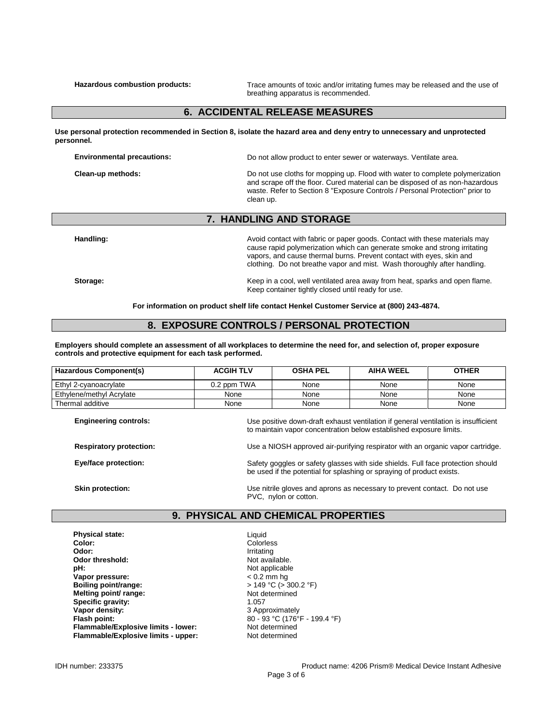**Hazardous combustion products:** Trace amounts of toxic and/or irritating fumes may be released and the use of breathing apparatus is recommended.

#### **6. ACCIDENTAL RELEASE MEASURES**

**Use personal protection recommended in Section 8, isolate the hazard area and deny entry to unnecessary and unprotected personnel.**

| <b>Environmental precautions:</b> | Do not allow product to enter sewer or waterways. Ventilate area.                                                                                                                                                                                          |
|-----------------------------------|------------------------------------------------------------------------------------------------------------------------------------------------------------------------------------------------------------------------------------------------------------|
| Clean-up methods:                 | Do not use cloths for mopping up. Flood with water to complete polymerization<br>and scrape off the floor. Cured material can be disposed of as non-hazardous<br>waste. Refer to Section 8 "Exposure Controls / Personal Protection" prior to<br>clean up. |

#### **7. HANDLING AND STORAGE**

Handling: **Handling: Handling:** Avoid contact with fabric or paper goods. Contact with these materials may cause rapid polymerization which can generate smoke and strong irritating vapors, and cause thermal burns. Prevent contact with eyes, skin and clothing. Do not breathe vapor and mist. Wash thoroughly after handling.

**Storage:** Keep in a cool, well ventilated area away from heat, sparks and open flame.

Keep container tightly closed until ready for use.

**For information on product shelf life contact Henkel Customer Service at (800) 243-4874.**

### **8. EXPOSURE CONTROLS / PERSONAL PROTECTION**

**Employers should complete an assessment of all workplaces to determine the need for, and selection of, proper exposure controls and protective equipment for each task performed.**

| Hazardous Component(s)                                                                                             | <b>ACGIH TLV</b> | <b>OSHA PEL</b> | <b>AIHA WEEL</b> | <b>OTHER</b> |
|--------------------------------------------------------------------------------------------------------------------|------------------|-----------------|------------------|--------------|
| Ethyl 2-cyanoacrylate                                                                                              | 0.2 ppm TWA      | None            | None             | None         |
| Ethylene/methyl Acrylate                                                                                           | None             | None            | None             | None         |
| Thermal additive                                                                                                   | None             | None            | None             | None         |
| Use positive down-draft exhaust ventilation if general ventilation is insufficient<br><b>Engineering controls:</b> |                  |                 |                  |              |

to maintain vapor concentration below established exposure limits.

**Respiratory protection:** Use a NIOSH approved air-purifying respirator with an organic vapor cartridge.

**Eye/face protection:** Safety goggles or safety glasses with side shields. Full face protection should be used if the potential for splashing or spraying of product exists.

**Skin protection:** Use nitrile gloves and aprons as necessary to prevent contact. Do not use PVC, nylon or cotton.

## **9. PHYSICAL AND CHEMICAL PROPERTIES**

**Physical state:** Liquid **Color:** Liquid Color: **Color:** Colorless Colorless Colorless Color:<br> **Color:** Color: Irritating **Odor threshold:**<br>pH: Vapor pressure:<br>Boiling point/range: **Melting point/ range: Specific gravity:** 1.057 **Vapor density:**<br> **Flash point:**<br> **SO** - 93 °C (176°) **Flammable/Explosive limits - lower: Flammable/Explosive limits - upper:** Not determined

**Irritating**<br>Not available. Not applicable<br>
< 0.2 mm hg **Boiling point/range:** > 149 °C (> 300.2 °F) **Flash point:** 80 - 93 °C (176°F - 199.4 °F)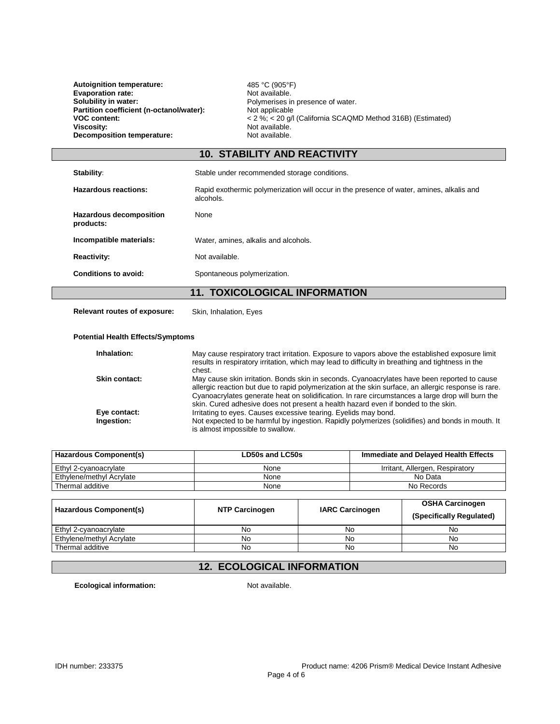| <b>Autoignition temperature:</b>         | 485 °C (905°F)        |
|------------------------------------------|-----------------------|
| <b>Evaporation rate:</b>                 | Not available.        |
| Solubility in water:                     | Polymerises in        |
| Partition coefficient (n-octanol/water): | Not applicable        |
| <b>VOC content:</b>                      | $< 2 \%$ ; $< 20$ g/l |
| <b>Viscosity:</b>                        | Not available.        |
| Decomposition temperature:               | Not available.        |

Polymerises in presence of water. Not applicable **VOC content:** < 2 %; < 20 g/l (California SCAQMD Method 316B) (Estimated) Not available.

## **10. STABILITY AND REACTIVITY**

| Stability:                                  | Stable under recommended storage conditions.                                                          |  |
|---------------------------------------------|-------------------------------------------------------------------------------------------------------|--|
| Hazardous reactions:                        | Rapid exothermic polymerization will occur in the presence of water, amines, alkalis and<br>alcohols. |  |
| <b>Hazardous decomposition</b><br>products: | None                                                                                                  |  |
| Incompatible materials:                     | Water, amines, alkalis and alcohols.                                                                  |  |
| <b>Reactivity:</b>                          | Not available.                                                                                        |  |
| Conditions to avoid:                        | Spontaneous polymerization.                                                                           |  |
| <b>11. TOXICOLOGICAL INFORMATION</b>        |                                                                                                       |  |

**Relevant routes of exposure:** Skin, Inhalation, Eyes

#### **Potential Health Effects/Symptoms**

| Inhalation:   | May cause respiratory tract irritation. Exposure to vapors above the established exposure limit<br>results in respiratory irritation, which may lead to difficulty in breathing and tightness in the<br>chest.                                                                                                                                                                                |
|---------------|-----------------------------------------------------------------------------------------------------------------------------------------------------------------------------------------------------------------------------------------------------------------------------------------------------------------------------------------------------------------------------------------------|
| Skin contact: | May cause skin irritation. Bonds skin in seconds. Cyanoacrylates have been reported to cause<br>allergic reaction but due to rapid polymerization at the skin surface, an allergic response is rare.<br>Cyanoacrylates generate heat on solidification. In rare circumstances a large drop will burn the<br>skin. Cured adhesive does not present a health hazard even if bonded to the skin. |
| Eye contact:  | Irritating to eyes. Causes excessive tearing. Eyelids may bond.                                                                                                                                                                                                                                                                                                                               |
| Ingestion:    | Not expected to be harmful by ingestion. Rapidly polymerizes (solidifies) and bonds in mouth. It<br>is almost impossible to swallow.                                                                                                                                                                                                                                                          |

| <b>Hazardous Component(s)</b> | LD50s and LC50s | Immediate and Delayed Health Effects |
|-------------------------------|-----------------|--------------------------------------|
| Ethyl 2-cvanoacrylate         | None            | Irritant, Allergen, Respiratory      |
| Ethylene/methyl Acrylate      | None            | No Data                              |
| Thermal additive              | None            | No Records                           |

| Hazardous Component(s)   | <b>NTP Carcinogen</b> | <b>IARC Carcinogen</b> | <b>OSHA Carcinogen</b><br>(Specifically Regulated) |
|--------------------------|-----------------------|------------------------|----------------------------------------------------|
| Ethyl 2-cyanoacrylate    | No                    | No                     | No                                                 |
| Ethylene/methyl Acrylate | No                    | No                     | No                                                 |
| Thermal additive         | No                    | No                     | No                                                 |

## **12. ECOLOGICAL INFORMATION**

**Ecological information:** Not available.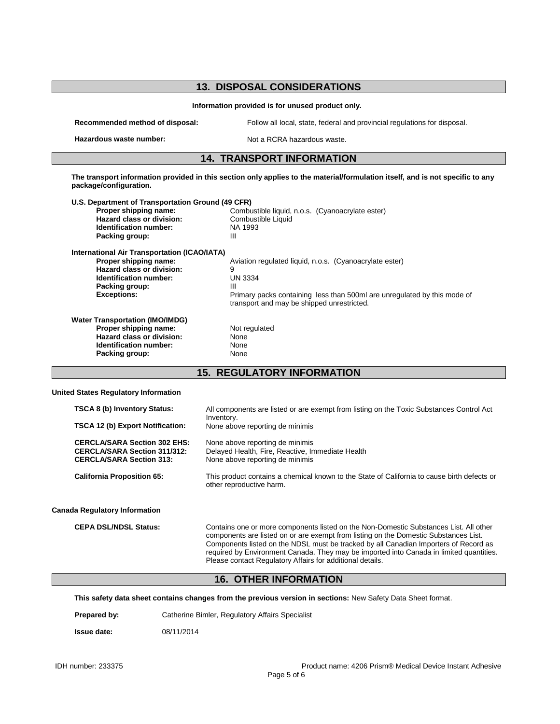| Recommended method of disposal:<br>Hazardous waste number:<br>package/configuration.<br>U.S. Department of Transportation Ground (49 CFR) | Information provided is for unused product only.<br>Follow all local, state, federal and provincial regulations for disposal.<br>Not a RCRA hazardous waste.<br><b>14. TRANSPORT INFORMATION</b><br>The transport information provided in this section only applies to the material/formulation itself, and is not specific to any |  |  |
|-------------------------------------------------------------------------------------------------------------------------------------------|------------------------------------------------------------------------------------------------------------------------------------------------------------------------------------------------------------------------------------------------------------------------------------------------------------------------------------|--|--|
|                                                                                                                                           |                                                                                                                                                                                                                                                                                                                                    |  |  |
|                                                                                                                                           |                                                                                                                                                                                                                                                                                                                                    |  |  |
|                                                                                                                                           |                                                                                                                                                                                                                                                                                                                                    |  |  |
|                                                                                                                                           |                                                                                                                                                                                                                                                                                                                                    |  |  |
|                                                                                                                                           |                                                                                                                                                                                                                                                                                                                                    |  |  |
|                                                                                                                                           |                                                                                                                                                                                                                                                                                                                                    |  |  |
|                                                                                                                                           |                                                                                                                                                                                                                                                                                                                                    |  |  |
| Proper shipping name:                                                                                                                     | Combustible liquid, n.o.s. (Cyanoacrylate ester)                                                                                                                                                                                                                                                                                   |  |  |
| Hazard class or division:                                                                                                                 | Combustible Liquid                                                                                                                                                                                                                                                                                                                 |  |  |
| Identification number:                                                                                                                    | NA 1993                                                                                                                                                                                                                                                                                                                            |  |  |
| Packing group:<br>Ш                                                                                                                       |                                                                                                                                                                                                                                                                                                                                    |  |  |
| <b>International Air Transportation (ICAO/IATA)</b>                                                                                       |                                                                                                                                                                                                                                                                                                                                    |  |  |
| Proper shipping name:                                                                                                                     | Aviation regulated liquid, n.o.s. (Cyanoacrylate ester)                                                                                                                                                                                                                                                                            |  |  |
| Hazard class or division:<br>9                                                                                                            |                                                                                                                                                                                                                                                                                                                                    |  |  |
| Identification number:                                                                                                                    | <b>UN 3334</b>                                                                                                                                                                                                                                                                                                                     |  |  |
| Packing group:<br>Ш                                                                                                                       |                                                                                                                                                                                                                                                                                                                                    |  |  |
| <b>Exceptions:</b>                                                                                                                        | Primary packs containing less than 500ml are unregulated by this mode of<br>transport and may be shipped unrestricted.                                                                                                                                                                                                             |  |  |
| <b>Water Transportation (IMO/IMDG)</b>                                                                                                    |                                                                                                                                                                                                                                                                                                                                    |  |  |
| Proper shipping name:                                                                                                                     | Not regulated                                                                                                                                                                                                                                                                                                                      |  |  |
| Hazard class or division:                                                                                                                 | None                                                                                                                                                                                                                                                                                                                               |  |  |
| Identification number:                                                                                                                    | None                                                                                                                                                                                                                                                                                                                               |  |  |
| Packing group:                                                                                                                            | None                                                                                                                                                                                                                                                                                                                               |  |  |
|                                                                                                                                           | <b>15. REGULATORY INFORMATION</b>                                                                                                                                                                                                                                                                                                  |  |  |

#### **United States Regulatory Information**

| <b>TSCA 8 (b) Inventory Status:</b><br><b>TSCA 12 (b) Export Notification:</b>                                | All components are listed or are exempt from listing on the Toxic Substances Control Act<br>Inventory.<br>None above reporting de minimis                                                                                                                                                                                                                        |  |
|---------------------------------------------------------------------------------------------------------------|------------------------------------------------------------------------------------------------------------------------------------------------------------------------------------------------------------------------------------------------------------------------------------------------------------------------------------------------------------------|--|
| <b>CERCLA/SARA Section 302 EHS:</b><br><b>CERCLA/SARA Section 311/312:</b><br><b>CERCLA/SARA Section 313:</b> | None above reporting de minimis<br>Delayed Health, Fire, Reactive, Immediate Health<br>None above reporting de minimis                                                                                                                                                                                                                                           |  |
| <b>California Proposition 65:</b>                                                                             | This product contains a chemical known to the State of California to cause birth defects or<br>other reproductive harm.                                                                                                                                                                                                                                          |  |
| <b>Canada Regulatory Information</b>                                                                          |                                                                                                                                                                                                                                                                                                                                                                  |  |
| <b>CEPA DSL/NDSL Status:</b>                                                                                  | Contains one or more components listed on the Non-Domestic Substances List. All other<br>components are listed on or are exempt from listing on the Domestic Substances List.<br>Components listed on the NDSL must be tracked by all Canadian Importers of Record as<br>required by Environment Canada. They may be imported into Canada in limited quantities. |  |

## **16. OTHER INFORMATION**

Please contact Regulatory Affairs for additional details.

**This safety data sheet contains changes from the previous version in sections:** New Safety Data Sheet format.

- Prepared by: Catherine Bimler, Regulatory Affairs Specialist
- **Issue date:** 08/11/2014